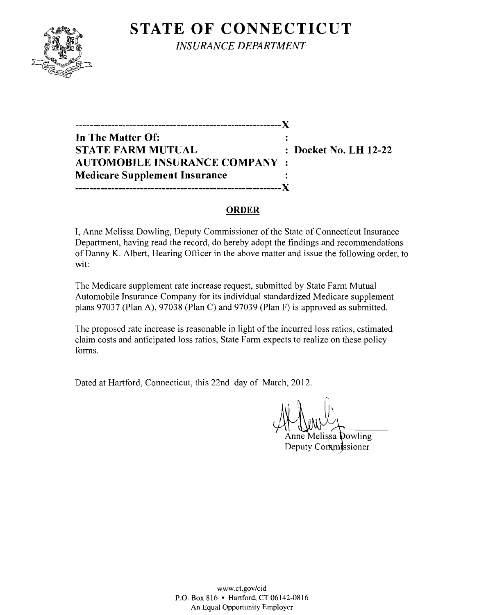# **STATE OF CONNECTICUT**



*INSURANCE DEPARTMENT* 

**---------------------------------------------------------){ In The Matter Of: STATE FARM MUTUAL Docket No. LH 12-22 AUTOMOBILE INSURANCE COMPANY Medicare Supplement Insurance ---------------------------------------------------------){** 

#### **ORDER**

I, Anne Melissa Dowling, Deputy Commissioner of the State of Connecticut Insurance Department, having read the record, do hereby adopt the findings and recommendations of Danny K. Albert, Hearing Officer in the above matter and issue the following order, to wit:

The Medicare supplement rate increase request, submitted by State Farm Mutual Automobile Insurance Company for its individual standardized Medicare supplement plans 97037 (Plan A), 97038 (Plan C) and 97039 (Plan F) is approved as submitted.

The proposed rate increase is reasonable in light of the incurred loss ratios, estimated claim costs and anticipated loss ratios, State Farm expects to realize on these policy forms.

Dated at Hartford, Connecticut, this 22nd day of March, 2012.

Anne Melissa Dowling

Deputy Commissioner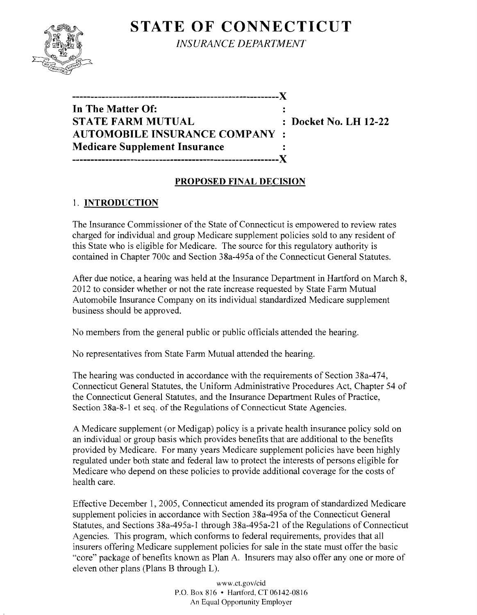## **STATE OF CONNECTICUT**



*INSURANCE DEPARTMENT* 

| ----------------------------------X<br>In The Matter Of: |  |
|----------------------------------------------------------|--|
| <b>STATE FARM MUTUAL</b>                                 |  |
| <b>AUTOMOBILE INSURANCE COMPANY :</b>                    |  |
| Medicare Supplement Insurance                            |  |
| __________                                               |  |

**Docket No. LH 12-22** 

#### **PROPOSED FINAL DECISION**

### 1. **INTRODUCTION**

The Insurance Commissioner of the State of Connecticut is empowered to review rates charged for individual and group Medicare supplement policies sold to any resident of this State who is eligible for Medicare. The source for this regulatory authority is contained in Chapter 700c and Section 38a-495a of the Connecticut General Statutes.

After due notice, a hearing was held at the Insurance Department in Hartford on March 8, 2012 to consider whether or not the rate increase requested by State Farm Mutual Automobile Insurance Company on its individual standardized Medicare supplement business should be approved.

No members from the general public or public officials attended the hearing.

No representatives from State Farm Mutual attended the hearing.

The hearing was conducted in accordance with the requirements of Section 38a-474, Connecticut General Statutes, the Uniform Administrative Procedures Act, Chapter 54 of the Connecticut General Statutes, and the Insurance Department Rules of Practice, Section 38a-8-1 et seq. of the Regulations of Connecticut State Agencies.

A Medicare supplement (or Medigap) policy is a private health insurance policy sold on an individual or group basis which provides benefits that are additional to the benefits provided by Medicare. For many years Medicare supplement policies have been highly regulated under both state and federal law to protect the interests of persons eligible for Medicare who depend on these policies to provide additional coverage for the costs of health care.

Effective December 1, 2005, Connecticut amended its program of standardized Medicare supplement policies in accordance with Section 38a-495a of the Connecticut General Statutes, and Sections 38a-495a-1 through 38a-495a-21 of the Regulations of Connecticut Agencies. This program, which conforms to federal requirements, provides that all insurers offering Medicare supplement policies for sale in the state must offer the basic "core" package of benefits known as Plan A. Insurers may also offer anyone or more of eleven other plans (Plans B through L).

> www.ct.gov/cid P.O. Box 8J6 • Hartford, CT 06142-0816 An Equal Opportunity Employer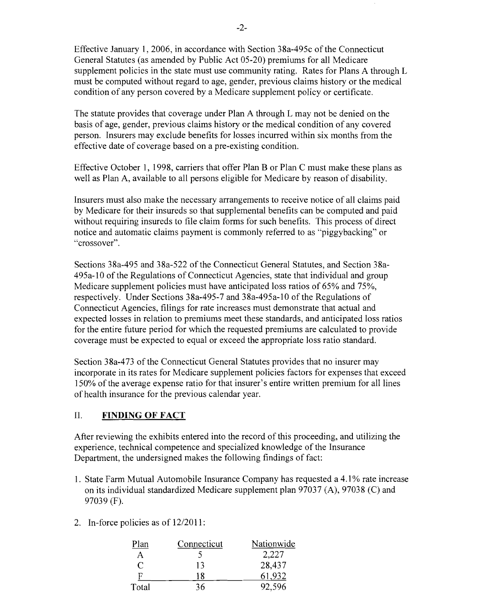Effective January 1, 2006, in accordance with Section 38a-495c of the Connecticut General Statutes (as amended by Public Act 05-20) premiums for all Medicare supplement policies in the state must use community rating. Rates for Plans A through L must be computed without regard to age, gender, previous claims history or the medical condition of any person covered by a Medicare supplement policy or certificate.

The statute provides that coverage under Plan A through L may not be denied on the basis of age, gender, previous claims history or the medical condition of any covered person. Insurers may exclude benefits for losses incurred within six months from the effective date of coverage based on a pre-existing condition.

Effective October 1, 1998, carriers that offer Plan B or Plan C must make these plans as well as Plan A, available to all persons eligible for Medicare by reason of disability.

Insurers must also make the necessary arrangements to receive notice of all claims paid by Medicare for their insureds so that supplemental benefits can be computed and paid without requiring insureds to file claim forms for such benefits. This process of direct notice and automatic claims payment is commonly referred to as "piggybacking" or "crossover".

Sections 38a-495 and 38a-522 of the Connecticut General Statutes, and Section 38a-495a-l0 of the Regulations of Connecticut Agencies, state that individual and group Medicare supplement policies must have anticipated loss ratios of 65% and 75%, respectively. Under Sections 38a-495-7 and 38a-495a-l0 of the Regulations of Connecticut Agencies, filings for rate increases must demonstrate that actual and expected losses in relation to premiums meet these standards, and anticipated loss ratios for the entire future period for which the requested premiums are calculated to provide coverage must be expected to equal or exceed the appropriate loss ratio standard.

Section 38a-473 of the Connecticut General Statutes provides that no insurer may incorporate in its rates for Medicare supplement policies factors for expenses that exceed 150% of the average expense ratio for that insurer's entire written premium for all lines of health insurance for the previous calendar year.

#### II. **FINDING OF FACT**

After reviewing the exhibits entered into the record of this proceeding, and utilizing the experience, technical competence and specialized knowledge of the Insurance Department, the undersigned makes the following findings of fact:

- 1. State Farm Mutual Automobile Insurance Company has requested a 4.1% rate increase on its individual standardized Medicare supplement plan 97037 (A), 97038 (C) and 97039 (F).
- 2. In-force policies as of 12/2011:

| Plan  | Connecticut | Nationwide |
|-------|-------------|------------|
| А     |             | 2,227      |
| ◯     | 13          | 28,437     |
| F     | 18          | 61.932     |
| Total | 36          | 92,596     |